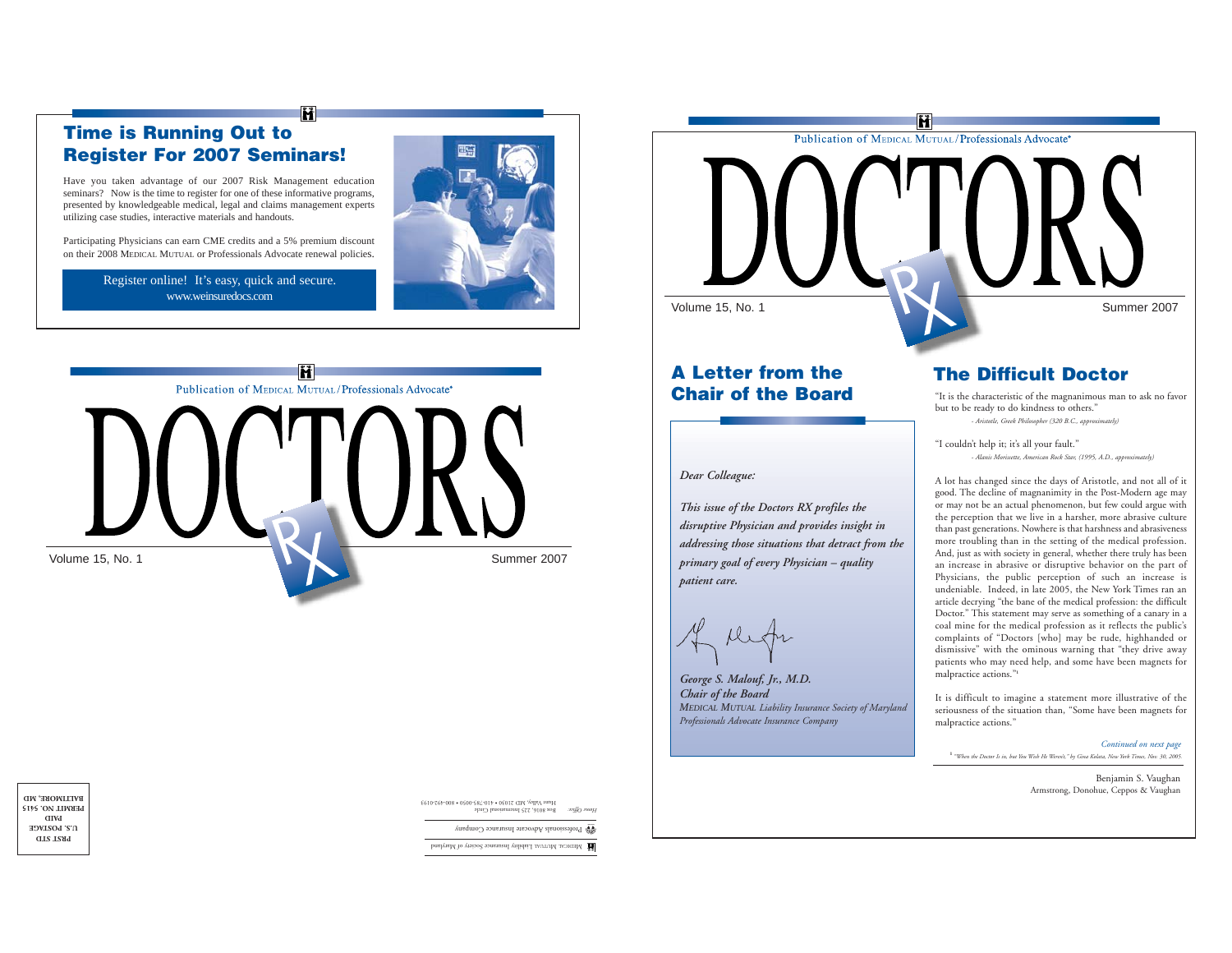# **Time is Running Out to Register For 2007 Seminars!**

Have you taken advantage of our 2007 Risk Management education seminars? Now is the time to register for one of these informative programs, presented by knowledgeable medical, legal and claims management experts utilizing case studies, interactive materials and handouts.

Participating Physicians can earn CME credits and a 5% premium discount on their 2008 MEDICAL MUTUAL or Professionals Advocate renewal policies.

> Register online! It's easy, quick and secure. www.weinsuredocs.com





M





# **A Letter from theChair of the Board**

*Dear Colleague:*

*This issue of the Doctors RX profiles the disruptive Physician and provides insight in addressing those situations that detract from the primary goal of every Physician – quality patient care.*

*George S. Malouf, Jr., M.D. Chair of the Board MEDICAL MUTUAL Liability Insurance Society of Maryland Professionals Advocate Insurance Company*

# **The Difficult Doctor**

 "It is the characteristic of the magnanimous man to ask no favor but to be ready to do kindness to others." *- Aristotle, Greek Philosopher (320 B.C., approximately)*

"I couldn't help it; it's all your fault." *- Alanis Morissette, American Rock Star, (1995, A.D., approximately)*

A lot has changed since the days of Aristotle, and not all of it good. The decline of magnanimity in the Post-Modern age may or may not be an actual phenomenon, but few could argue with the perception that we live in a harsher, more abrasive culture than past generations. Nowhere is that harshness and abrasiveness more troubling than in the setting of the medical profession. And, just as with society in general, whether there truly has been an increase in abrasive or disruptive behavior on the part of Physicians, the public perception of such an increase is undeniable. Indeed, in late 2005, the New York Times ran an article decrying "the bane of the medical profession: the difficult Doctor." This statement may serve as something of a canary in a coal mine for the medical profession as it reflects the public's complaints of "Doctors [who] may be rude, highhanded or dismissive" with the ominous warning that "they drive away patients who may need help, and some have been magnets for malpractice actions."**<sup>1</sup>**

It is difficult to imagine a statement more illustrative of the seriousness of the situation than, "Some have been magnets for malpractice actions."

## *Continued on next page*

**1** *"When the Doctor Is in, but You Wish He Weren't," by Gina Kolata, New York Times, Nov. 30, 2005.*

Benjamin S. Vaughan Armstrong, Donohue, Ceppos & Vaughan

Box 8016, 225 International Circle Hunt Valley, MD 21030 • 410-785-0050 • 800-492-0193 *Home Office:*

Professionals Advocate Insurance Company **®**

Liability Insurance Society of Maryland Maryland Maryland Maryland Maryland Maryland Maryland Maryland Maryland Ma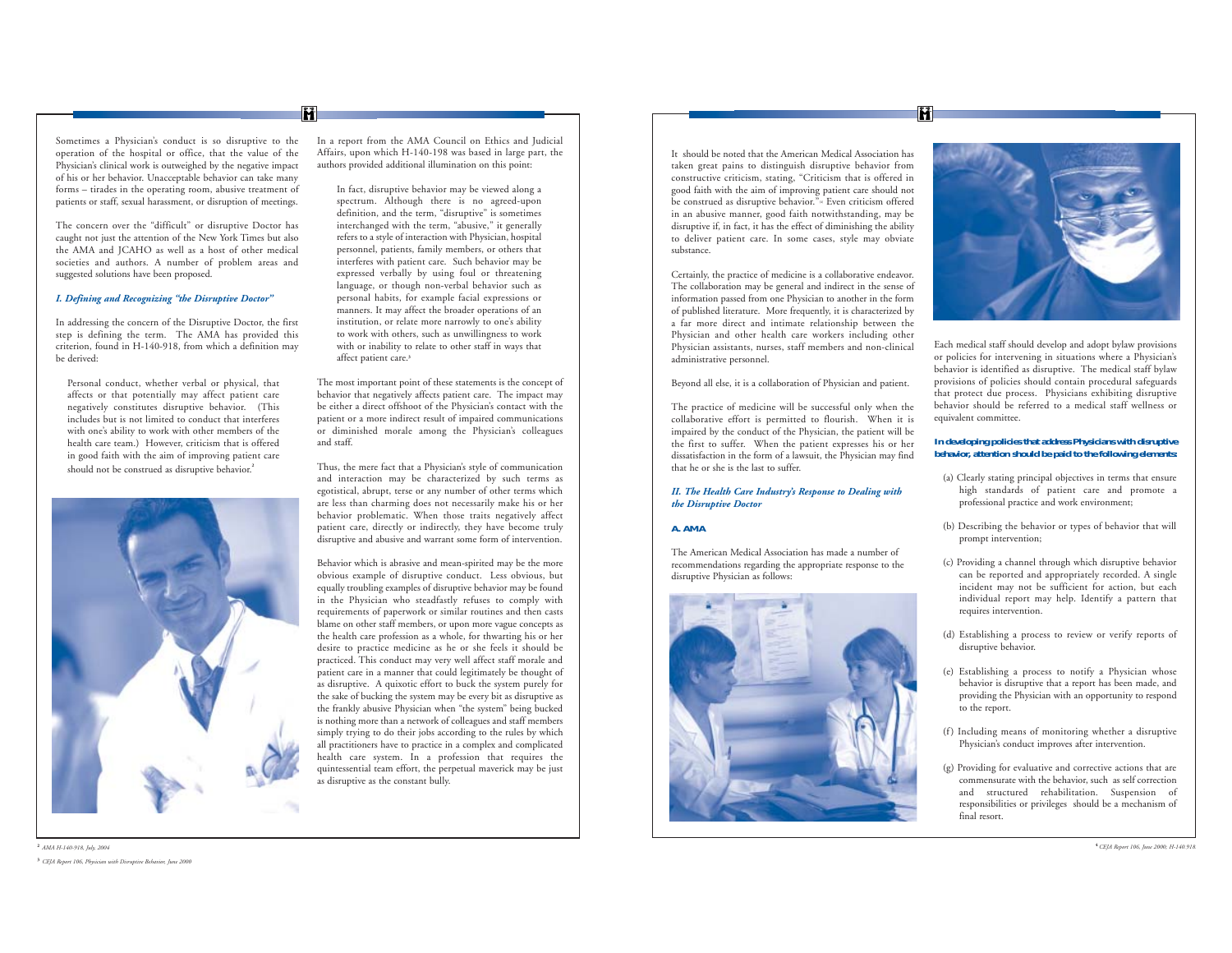#### Sometimes a Physician's conduct is so disruptive to the operation of the hospital or office, that the value of the Physician's clinical work is outweighed by the negative impact of his or her behavior. Unacceptable behavior can take many forms – tirades in the operating room, abusive treatment of patients or staff, sexual harassment, or disruption of meetings.

The concern over the "difficult" or disruptive Doctor has caught not just the attention of the New York Times but also the AMA and JCAHO as well as a host of other medical societies and authors. A number of problem areas and suggested solutions have been proposed.

#### *I. Defining and Recognizing "the Disruptive Doctor"*

In addressing the concern of the Disruptive Doctor, the first step is defining the term. The AMA has provided this criterion, found in H-140-918, from which a definition may be derived:

Personal conduct, whether verbal or physical, that affects or that potentially may affect patient care negatively constitutes disruptive behavior. (This includes but is not limited to conduct that interferes with one's ability to work with other members of the health care team.) However, criticism that is offered in good faith with the aim of improving patient care should not be construed as disruptive behavior.**<sup>2</sup>**



In a report from the AMA Council on Ethics and Judicial Affairs, upon which H-140-198 was based in large part, the authors provided additional illumination on this point:

M

In fact, disruptive behavior may be viewed along a spectrum. Although there is no agreed-upon definition, and the term, "disruptive" is sometimes interchanged with the term, "abusive," it generally refers to a style of interaction with Physician, hospital personnel, patients, family members, or others that interferes with patient care. Such behavior may be expressed verbally by using foul or threatening language, or though non-verbal behavior such as personal habits, for example facial expressions or manners. It may affect the broader operations of an institution, or relate more narrowly to one's ability to work with others, such as unwillingness to work with or inability to relate to other staff in ways that affect patient care.**<sup>3</sup>**

The most important point of these statements is the concept of behavior that negatively affects patient care. The impact may be either a direct offshoot of the Physician's contact with the patient or a more indirect result of impaired communications or diminished morale among the Physician's colleagues and staff.

Thus, the mere fact that a Physician's style of communication and interaction may be characterized by such terms as egotistical, abrupt, terse or any number of other terms which are less than charming does not necessarily make his or her behavior problematic. When those traits negatively affect patient care, directly or indirectly, they have become truly disruptive and abusive and warrant some form of intervention.

Behavior which is abrasive and mean-spirited may be the more obvious example of disruptive conduct. Less obvious, but equally troubling examples of disruptive behavior may be found in the Physician who steadfastly refuses to comply with requirements of paperwork or similar routines and then casts blame on other staff members, or upon more vague concepts as the health care profession as a whole, for thwarting his or her desire to practice medicine as he or she feels it should be practiced. This conduct may very well affect staff morale and patient care in a manner that could legitimately be thought of as disruptive. A quixotic effort to buck the system purely for the sake of bucking the system may be every bit as disruptive as the frankly abusive Physician when "the system" being bucked is nothing more than a network of colleagues and staff members simply trying to do their jobs according to the rules by which all practitioners have to practice in a complex and complicated health care system. In a profession that requires the quintessential team effort, the perpetual maverick may be just as disruptive as the constant bully.

It should be noted that the American Medical Association has taken great pains to distinguish disruptive behavior from constructive criticism, stating, "Criticism that is offered in good faith with the aim of improving patient care should not be construed as disruptive behavior."<sup>6</sup> Even criticism offered in an abusive manner, good faith notwithstanding, may be disruptive if, in fact, it has the effect of diminishing the ability to deliver patient care. In some cases, style may obviate substance.

Ĥ

Certainly, the practice of medicine is a collaborative endeavor. The collaboration may be general and indirect in the sense of information passed from one Physician to another in the form of published literature. More frequently, it is characterized by a far more direct and intimate relationship between the Physician and other health care workers including other Physician assistants, nurses, staff members and non-clinical administrative personnel.

Beyond all else, it is a collaboration of Physician and patient.

The practice of medicine will be successful only when the collaborative effort is permitted to flourish. When it is impaired by the conduct of the Physician, the patient will be the first to suffer. When the patient expresses his or her dissatisfaction in the form of a lawsuit, the Physician may find that he or she is the last to suffer.

#### *II. The Health Care Industry's Response to Dealing with the Disruptive Doctor*

#### **A. AMA**

The American Medical Association has made a number of recommendations regarding the appropriate response to the disruptive Physician as follows:





Each medical staff should develop and adopt bylaw provisions or policies for intervening in situations where a Physician's behavior is identified as disruptive. The medical staff bylaw provisions of policies should contain procedural safeguards that protect due process. Physicians exhibiting disruptive behavior should be referred to a medical staff wellness or equivalent committee.

#### **In developing policies that address Physicians with disruptive behavior, attention should be paid to the following elements:**

- (a) Clearly stating principal objectives in terms that ensure high standards of patient care and promote a professional practice and work environment;
- (b) Describing the behavior or types of behavior that will prompt intervention;
- (c) Providing a channel through which disruptive behavior can be reported and appropriately recorded. A single incident may not be sufficient for action, but each individual report may help. Identify a pattern that requires intervention.
- (d) Establishing a process to review or verify reports of disruptive behavior.
- (e) Establishing a process to notify a Physician whose behavior is disruptive that a report has been made, and providing the Physician with an opportunity to respond to the report.
- (f) Including means of monitoring whether a disruptive Physician's conduct improves after intervention.
- (g) Providing for evaluative and corrective actions that are commensurate with the behavior, such as self correction and structured rehabilitation. Suspension of responsibilities or privileges should be a mechanism of final resort.

#### **2** *AMA H-140-918, July, 2004* **3** *CEJA Report 106, Physician with Disruptive Behavior, June 2000*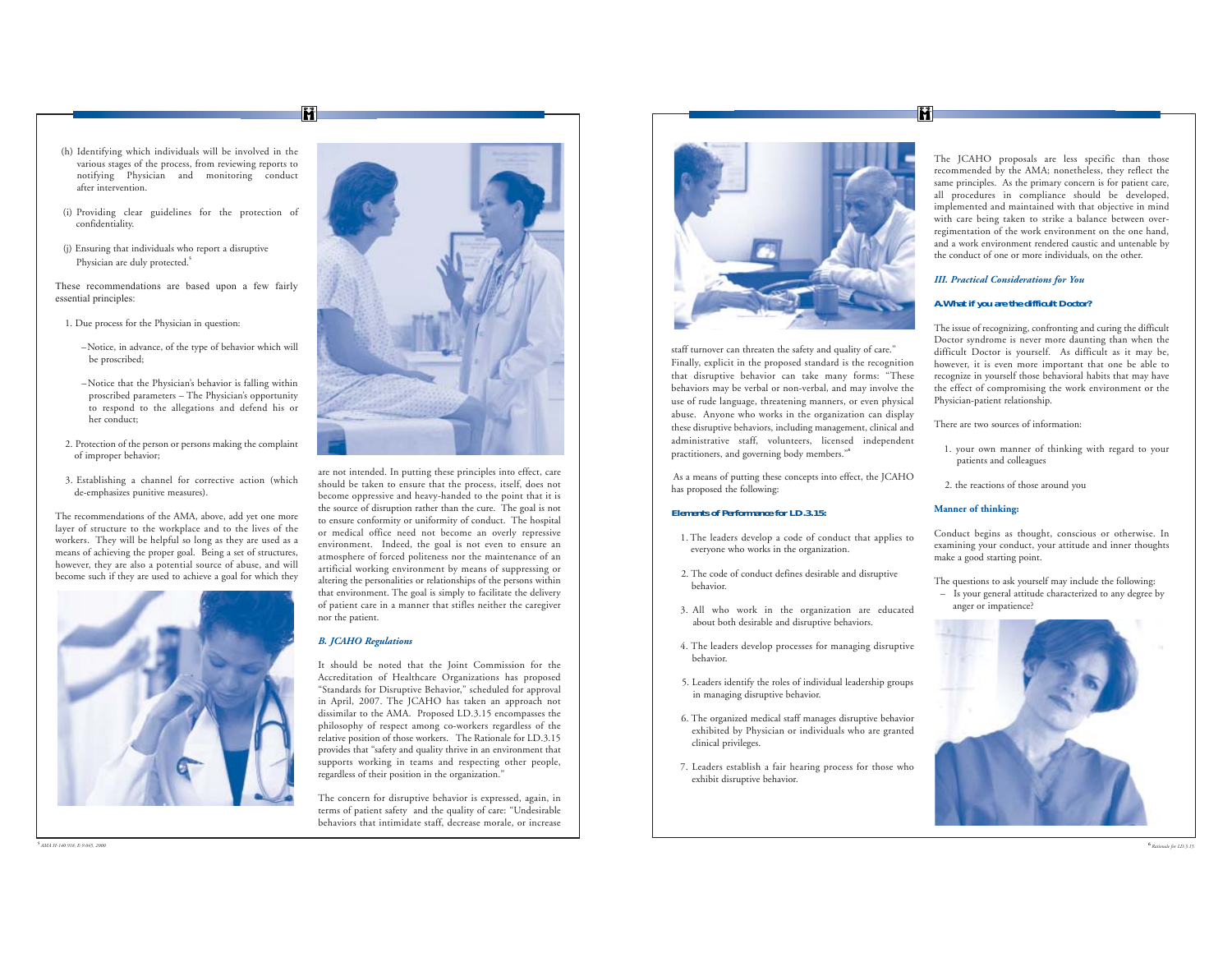Ĥ

- (h) Identifying which individuals will be involved in the various stages of the process, from reviewing reports to notifying Physician and monitoring conduct after intervention.
- (i) Providing clear guidelines for the protection of confidentiality.
- (j) Ensuring that individuals who report a disruptive Physician are duly protected.<sup>5</sup>

These recommendations are based upon a few fairly essential principles:

- 1. Due process for the Physician in question:
	- –Notice, in advance, of the type of behavior which will be proscribed;
	- –Notice that the Physician's behavior is falling within proscribed parameters – The Physician's opportunity to respond to the allegations and defend his or her conduct;
- 2. Protection of the person or persons making the complaint of improper behavior;
- 3. Establishing a channel for corrective action (which de-emphasizes punitive measures).

The recommendations of the AMA, above, add yet one more layer of structure to the workplace and to the lives of the workers. They will be helpful so long as they are used as a means of achieving the proper goal. Being a set of structures, however, they are also a potential source of abuse, and will become such if they are used to achieve a goal for which they





are not intended. In putting these principles into effect, care should be taken to ensure that the process, itself, does not become oppressive and heavy-handed to the point that it is the source of disruption rather than the cure. The goal is not to ensure conformity or uniformity of conduct. The hospital or medical office need not become an overly repressive environment. Indeed, the goal is not even to ensure an atmosphere of forced politeness nor the maintenance of an artificial working environment by means of suppressing or altering the personalities or relationships of the persons within that environment. The goal is simply to facilitate the delivery of patient care in a manner that stifles neither the caregiver nor the patient.

## *B. JCAHO Regulations*

It should be noted that the Joint Commission for the Accreditation of Healthcare Organizations has proposed "Standards for Disruptive Behavior," scheduled for approval in April, 2007. The JCAHO has taken an approach not dissimilar to the AMA. Proposed LD.3.15 encompasses the <sup>p</sup>hilosophy of respect among co-workers regardless of the relative position of those workers. The Rationale for LD.3.15 provides that "safety and quality thrive in an environment that supports working in teams and respecting other people, regardless of their position in the organization."

The concern for disruptive behavior is expressed, again, in terms of patient safety and the quality of care: "Undesirable behaviors that intimidate staff, decrease morale, or increase



staff turnover can threaten the safety and quality of care." Finally, explicit in the proposed standard is the recognition that disruptive behavior can take many forms: "These behaviors may be verbal or non-verbal, and may involve the use of rude language, threatening manners, or even physical abuse. Anyone who works in the organization can display these disruptive behaviors, including management, clinical and administrative staff, volunteers, licensed independent practitioners, and governing body members."**<sup>6</sup>**

As a means of putting these concepts into effect, the JCAHO has proposed the following:

#### **Elements of Performance for LD.3.15:**

- 1. The leaders develop a code of conduct that applies to everyone who works in the organization.
- 2. The code of conduct defines desirable and disruptive behavior.
- 3. All who work in the organization are educated about both desirable and disruptive behaviors.
- 4. The leaders develop processes for managing disruptive behavior.
- 5. Leaders identify the roles of individual leadership groups in managing disruptive behavior.
- 6. The organized medical staff manages disruptive behavior exhibited by Physician or individuals who are granted clinical privileges.
- 7. Leaders establish a fair hearing process for those who exhibit disruptive behavior.

The JCAHO proposals are less specific than those recommended by the AMA; nonetheless, they reflect the same principles. As the primary concern is for patient care, all procedures in compliance should be developed, implemented and maintained with that objective in mind with care being taken to strike a balance between overregimentation of the work environment on the one hand, and a work environment rendered caustic and untenable by the conduct of one or more individuals, on the other.

#### *III. Practical Considerations for You*

#### **A.What if you are the difficult Doctor?**

The issue of recognizing, confronting and curing the difficult Doctor syndrome is never more daunting than when the difficult Doctor is yourself. As difficult as it may be, however, it is even more important that one be able to recognize in yourself those behavioral habits that may have the effect of compromising the work environment or the Physician-patient relationship.

There are two sources of information:

- 1. your own manner of thinking with regard to your patients and colleagues
- 2. the reactions of those around you

### **Manner of thinking:**

Conduct begins as thought, conscious or otherwise. In examining your conduct, your attitude and inner thoughts make a good starting point.

The questions to ask yourself may include the following: – Is your general attitude characterized to any degree by anger or impatience?

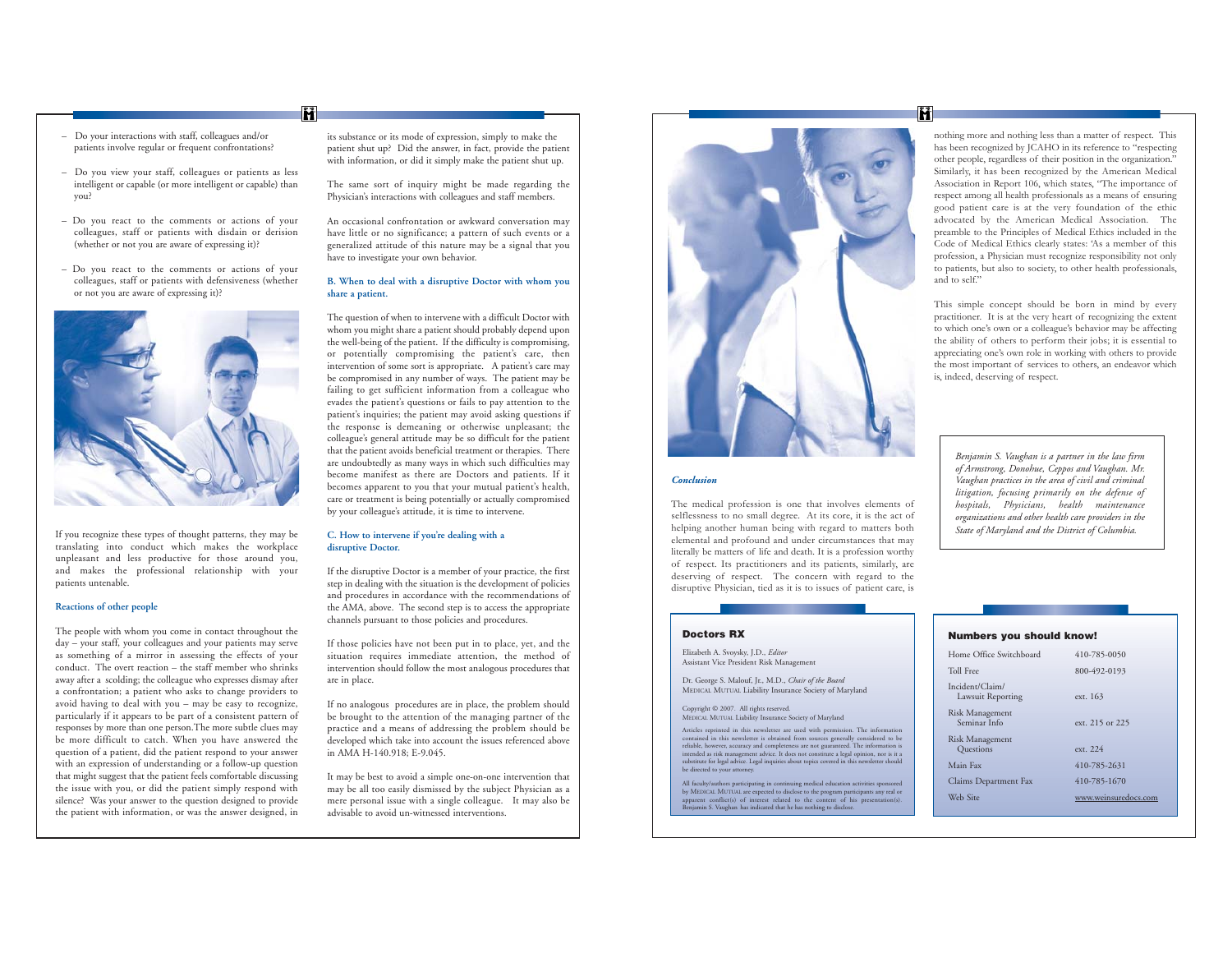- Do your interactions with staff, colleagues and/or patients involve regular or frequent confrontations?
- Do you view your staff, colleagues or patients as less intelligent or capable (or more intelligent or capable) than you?

M

- Do you react to the comments or actions of your colleagues, staff or patients with disdain or derision (whether or not you are aware of expressing it)?
- Do you react to the comments or actions of your colleagues, staff or patients with defensiveness (whether or not you are aware of expressing it)?



If you recognize these types of thought patterns, they may be translating into conduct which makes the workplace unpleasant and less productive for those around you, and makes the professional relationship with your patients untenable.

### **Reactions of other people**

The people with whom you come in contact throughout the day – your staff, your colleagues and your patients may serve as something of a mirror in assessing the effects of your conduct. The overt reaction – the staff member who shrinksaway after a scolding; the colleague who expresses dismay after a confrontation; a patient who asks to change providers to avoid having to deal with you – may be easy to recognize, particularly if it appears to be part of a consistent pattern of responses by more than one person.The more subtle clues may be more difficult to catch. When you have answered the question of a patient, did the patient respond to your answer with an expression of understanding or a follow-up question that might suggest that the patient feels comfortable discussing the issue with you, or did the patient simply respond with silence? Was your answer to the question designed to provide the patient with information, or was the answer designed, in its substance or its mode of expression, simply to make the patient shut up? Did the answer, in fact, provide the patient with information, or did it simply make the patient shut up.

The same sort of inquiry might be made regarding the Physician's interactions with colleagues and staff members.

An occasional confrontation or awkward conversation may have little or no significance; a pattern of such events or a generalized attitude of this nature may be a signal that you have to investigate your own behavior.

#### **B. When to deal with a disruptive Doctor with whom you share a patient.**

The question of when to intervene with a difficult Doctor with whom you might share a patient should probably depend upon the well-being of the patient. If the difficulty is compromising, or potentially compromising the patient's care, then intervention of some sort is appropriate. A patient's care may be compromised in any number of ways. The patient may be failing to get sufficient information from a colleague who evades the patient's questions or fails to pay attention to the patient's inquiries; the patient may avoid asking questions if the response is demeaning or otherwise unpleasant; the colleague's general attitude may be so difficult for the patient that the patient avoids beneficial treatment or therapies. There are undoubtedly as many ways in which such difficulties may become manifest as there are Doctors and patients. If it becomes apparent to you that your mutual patient's health, care or treatment is being potentially or actually compromised by your colleague's attitude, it is time to intervene.

#### **C. How to intervene if you're dealing with a disruptive Doctor.**

If the disruptive Doctor is a member of your practice, the first step in dealing with the situation is the development of policies and procedures in accordance with the recommendations of the AMA, above. The second step is to access the appropriate channels pursuant to those policies and procedures.

If those policies have not been put in to place, yet, and the situation requires immediate attention, the method of intervention should follow the most analogous procedures that are in place.

If no analogous procedures are in place, the problem should be brought to the attention of the managing partner of the practice and a means of addressing the problem should be developed which take into account the issues referenced above in AMA H-140.918; E-9.045.

It may be best to avoid a simple one-on-one intervention that may be all too easily dismissed by the subject Physician as a mere personal issue with a single colleague. It may also be advisable to avoid un-witnessed interventions.



#### *Conclusion*

The medical profession is one that involves elements of selflessness to no small degree. At its core, it is the act of helping another human being with regard to matters both elemental and profound and under circumstances that may literally be matters of life and death. It is a profession worthy of respect. Its practitioners and its patients, similarly, are deserving of respect. The concern with regard to the disruptive Physician, tied as it is to issues of patient care, is

#### **Doctors RX**

Elizabeth A. Svoysky, J.D., *Editor* Assistant Vice President Risk Management

Dr. George S. Malouf, Jr., M.D., *Chair of the Board* MEDICAL MUTUAL Liability Insurance Society of Maryland

Copyright © 2007. All rights reserved. MEDICAL MUTUAL Liability Insurance Society of Maryland

Articles reprinted in this newsletter are used with permission. The information<br>contained in this newsletter is obtained from sources generally considered to be<br>reliable, however, accuracy and completeness are not guarante

All faculty/authors participating in continuing medical education activities sponsored by MEDICAL MUTUAL are expected to disclose to the program participants any real or<br>apparent conflict(s) of interest related to the content of his presentation(s).<br>Benjamin S. Vaughan has indicated that he has not

# M.

nothing more and nothing less than a matter of respect. This has been recognized by ICAHO in its reference to "respecting other people, regardless of their position in the organization." Similarly, it has been recognized by the American Medical Association in Report 106, which states, "The importance of respect among all health professionals as a means of ensuring good patient care is at the very foundation of the ethic advocated by the American Medical Association. The preamble to the Principles of Medical Ethics included in the Code of Medical Ethics clearly states: 'As a member of this profession, a Physician must recognize responsibility not only to patients, but also to society, to other health professionals, and to self."

This simple concept should be born in mind by every practitioner. It is at the very heart of recognizing the extent to which one's own or a colleague's behavior may be affecting the ability of others to perform their jobs; it is essential to appreciating one's own role in working with others to provide the most important of services to others, an endeavor which is, indeed, deserving of respect.

*Benjamin S. Vaughan is a partner in the law firm of Armstrong, Donohue, Ceppos and Vaughan. Mr. Vaughan practices in the area of civil and criminal litigation, focusing primarily on the defense of hospitals, Physicians, health maintenance organizations and other health care providers in the State of Maryland and the District of Columbia.*

#### **Numbers you should know!**

| Toll Free<br>800-492-0193<br>Incident/Claim/<br>Lawsuit Reporting<br>ext. 163<br>Risk Management<br>Seminar Info<br>ext. 215 or 225<br>Risk Management<br>Questions<br>ext. 224<br>Main Fax<br>410-785-2631<br>410-785-1670<br>Claims Department Fax<br>Web Sire<br>www.weinsuredocs.com | Home Office Switchboard | 410-785-0050 |
|------------------------------------------------------------------------------------------------------------------------------------------------------------------------------------------------------------------------------------------------------------------------------------------|-------------------------|--------------|
|                                                                                                                                                                                                                                                                                          |                         |              |
|                                                                                                                                                                                                                                                                                          |                         |              |
|                                                                                                                                                                                                                                                                                          |                         |              |
|                                                                                                                                                                                                                                                                                          |                         |              |
|                                                                                                                                                                                                                                                                                          |                         |              |
|                                                                                                                                                                                                                                                                                          |                         |              |
|                                                                                                                                                                                                                                                                                          |                         |              |